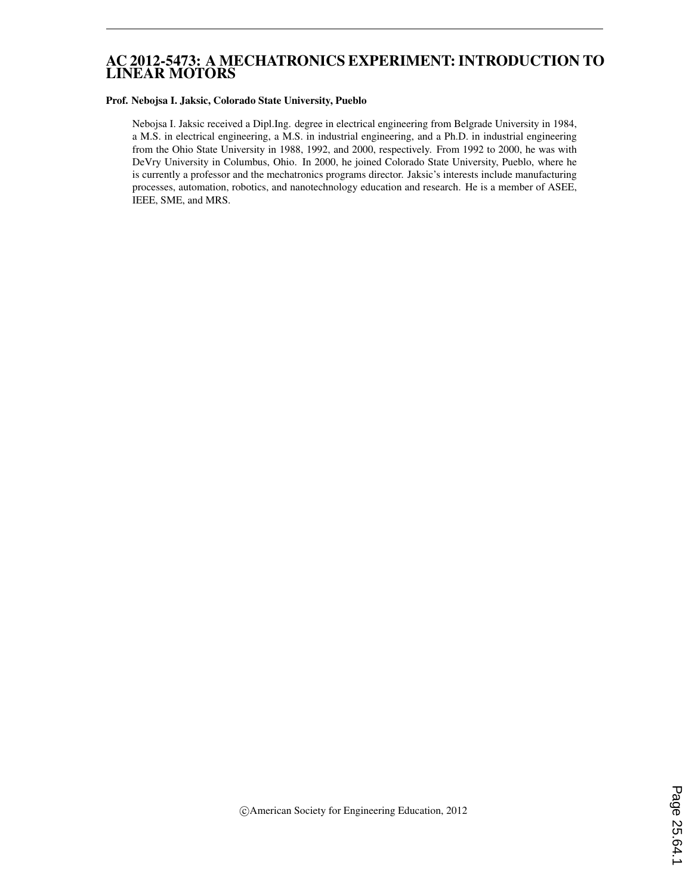# AC 2012-5473: A MECHATRONICS EXPERIMENT: INTRODUCTION TO LINEAR MOTORS

#### Prof. Nebojsa I. Jaksic, Colorado State University, Pueblo

Nebojsa I. Jaksic received a Dipl.Ing. degree in electrical engineering from Belgrade University in 1984, a M.S. in electrical engineering, a M.S. in industrial engineering, and a Ph.D. in industrial engineering from the Ohio State University in 1988, 1992, and 2000, respectively. From 1992 to 2000, he was with DeVry University in Columbus, Ohio. In 2000, he joined Colorado State University, Pueblo, where he is currently a professor and the mechatronics programs director. Jaksic's interests include manufacturing processes, automation, robotics, and nanotechnology education and research. He is a member of ASEE, IEEE, SME, and MRS.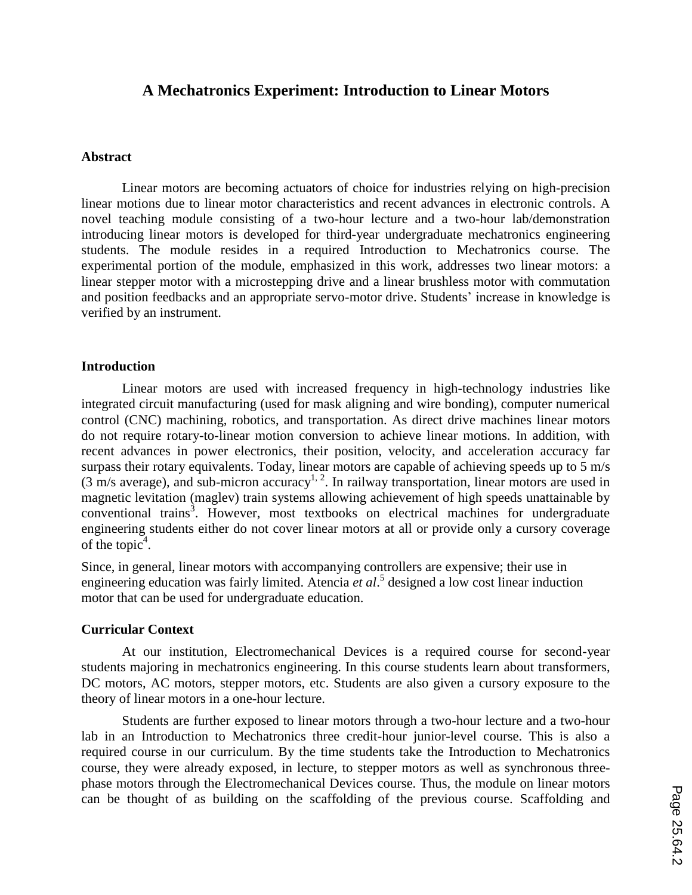# **A Mechatronics Experiment: Introduction to Linear Motors**

#### **Abstract**

Linear motors are becoming actuators of choice for industries relying on high-precision linear motions due to linear motor characteristics and recent advances in electronic controls. A novel teaching module consisting of a two-hour lecture and a two-hour lab/demonstration introducing linear motors is developed for third-year undergraduate mechatronics engineering students. The module resides in a required Introduction to Mechatronics course. The experimental portion of the module, emphasized in this work, addresses two linear motors: a linear stepper motor with a microstepping drive and a linear brushless motor with commutation and position feedbacks and an appropriate servo-motor drive. Students' increase in knowledge is verified by an instrument.

#### **Introduction**

Linear motors are used with increased frequency in high-technology industries like integrated circuit manufacturing (used for mask aligning and wire bonding), computer numerical control (CNC) machining, robotics, and transportation. As direct drive machines linear motors do not require rotary-to-linear motion conversion to achieve linear motions. In addition, with recent advances in power electronics, their position, velocity, and acceleration accuracy far surpass their rotary equivalents. Today, linear motors are capable of achieving speeds up to 5 m/s (3 m/s average), and sub-micron accuracy<sup>1, 2</sup>. In railway transportation, linear motors are used in magnetic levitation (maglev) train systems allowing achievement of high speeds unattainable by conventional trains<sup>3</sup>. However, most textbooks on electrical machines for undergraduate engineering students either do not cover linear motors at all or provide only a cursory coverage of the topic $4$ .

Since, in general, linear motors with accompanying controllers are expensive; their use in engineering education was fairly limited. Atencia *et al*. 5 designed a low cost linear induction motor that can be used for undergraduate education.

#### **Curricular Context**

At our institution, Electromechanical Devices is a required course for second-year students majoring in mechatronics engineering. In this course students learn about transformers, DC motors, AC motors, stepper motors, etc. Students are also given a cursory exposure to the theory of linear motors in a one-hour lecture.

Students are further exposed to linear motors through a two-hour lecture and a two-hour lab in an Introduction to Mechatronics three credit-hour junior-level course. This is also a required course in our curriculum. By the time students take the Introduction to Mechatronics course, they were already exposed, in lecture, to stepper motors as well as synchronous threephase motors through the Electromechanical Devices course. Thus, the module on linear motors can be thought of as building on the scaffolding of the previous course. Scaffolding and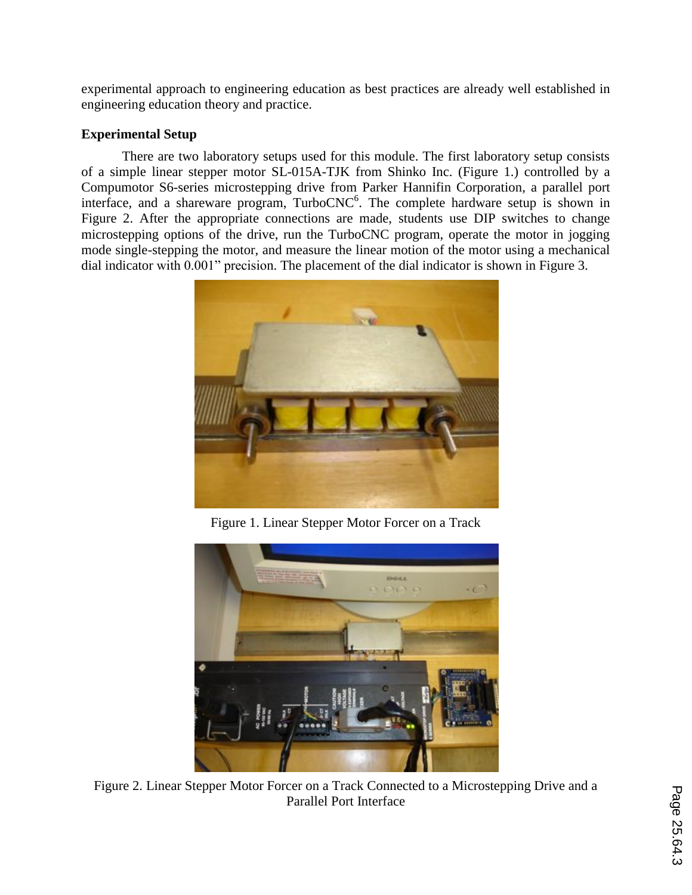experimental approach to engineering education as best practices are already well established in engineering education theory and practice.

# **Experimental Setup**

There are two laboratory setups used for this module. The first laboratory setup consists of a simple linear stepper motor SL-015A-TJK from Shinko Inc. (Figure 1.) controlled by a Compumotor S6-series microstepping drive from Parker Hannifin Corporation, a parallel port interface, and a shareware program,  $TurboCNC<sup>6</sup>$ . The complete hardware setup is shown in Figure 2. After the appropriate connections are made, students use DIP switches to change microstepping options of the drive, run the TurboCNC program, operate the motor in jogging mode single-stepping the motor, and measure the linear motion of the motor using a mechanical dial indicator with 0.001" precision. The placement of the dial indicator is shown in Figure 3.



Figure 1. Linear Stepper Motor Forcer on a Track



Figure 2. Linear Stepper Motor Forcer on a Track Connected to a Microstepping Drive and a Parallel Port Interface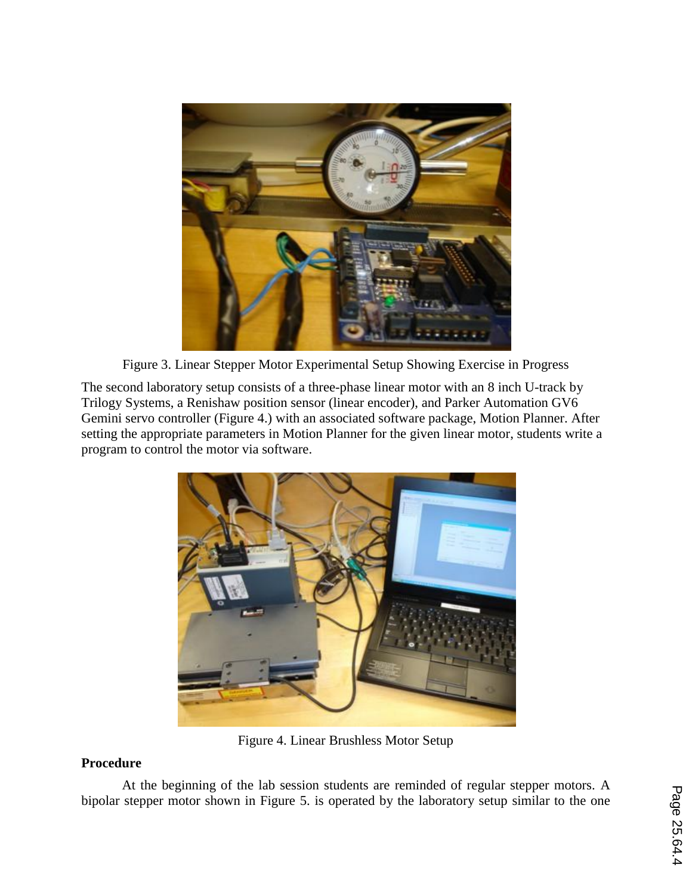

Figure 3. Linear Stepper Motor Experimental Setup Showing Exercise in Progress

The second laboratory setup consists of a three-phase linear motor with an 8 inch U-track by Trilogy Systems, a Renishaw position sensor (linear encoder), and Parker Automation GV6 Gemini servo controller (Figure 4.) with an associated software package, Motion Planner. After setting the appropriate parameters in Motion Planner for the given linear motor, students write a program to control the motor via software.



Figure 4. Linear Brushless Motor Setup

# **Procedure**

At the beginning of the lab session students are reminded of regular stepper motors. A bipolar stepper motor shown in Figure 5. is operated by the laboratory setup similar to the one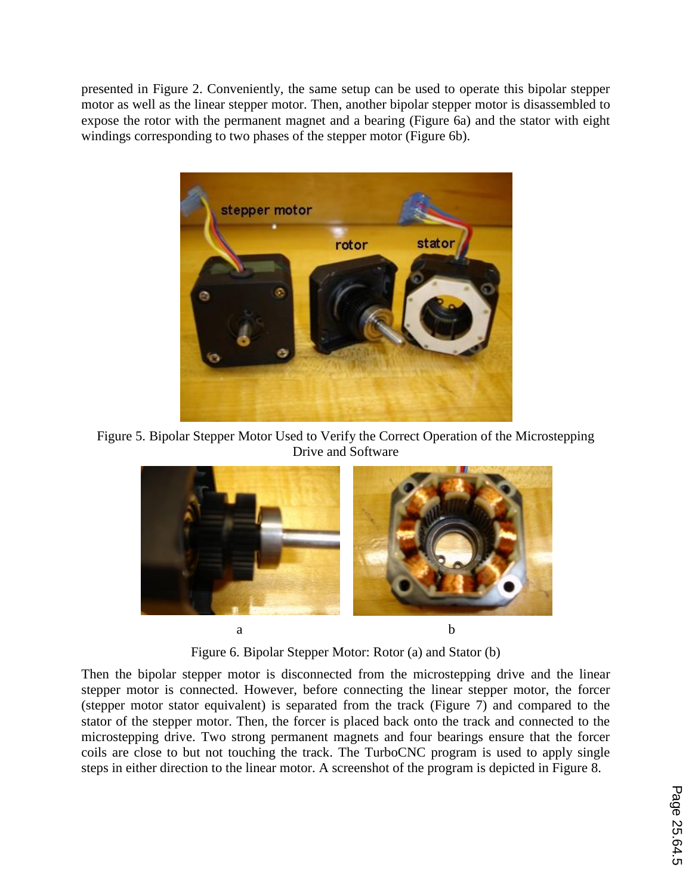presented in Figure 2. Conveniently, the same setup can be used to operate this bipolar stepper motor as well as the linear stepper motor. Then, another bipolar stepper motor is disassembled to expose the rotor with the permanent magnet and a bearing (Figure 6a) and the stator with eight windings corresponding to two phases of the stepper motor (Figure 6b).



Figure 5. Bipolar Stepper Motor Used to Verify the Correct Operation of the Microstepping Drive and Software



Figure 6. Bipolar Stepper Motor: Rotor (a) and Stator (b)

Then the bipolar stepper motor is disconnected from the microstepping drive and the linear stepper motor is connected. However, before connecting the linear stepper motor, the forcer (stepper motor stator equivalent) is separated from the track (Figure 7) and compared to the stator of the stepper motor. Then, the forcer is placed back onto the track and connected to the microstepping drive. Two strong permanent magnets and four bearings ensure that the forcer coils are close to but not touching the track. The TurboCNC program is used to apply single steps in either direction to the linear motor. A screenshot of the program is depicted in Figure 8.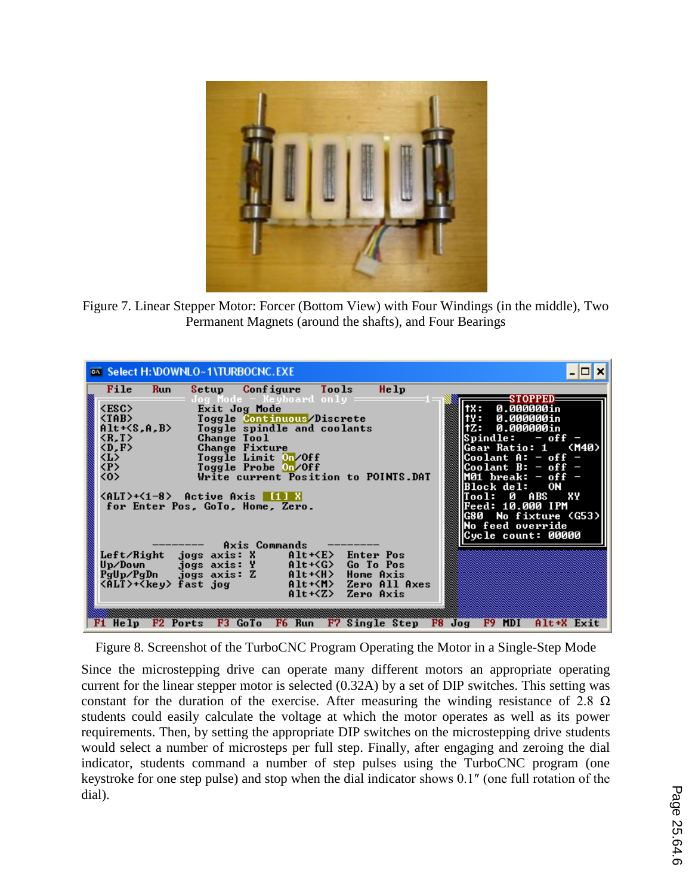

Figure 7. Linear Stepper Motor: Forcer (Bottom View) with Four Windings (in the middle), Two Permanent Magnets (around the shafts), and Four Bearings

![](_page_5_Picture_2.jpeg)

Figure 8. Screenshot of the TurboCNC Program Operating the Motor in a Single-Step Mode

Since the microstepping drive can operate many different motors an appropriate operating current for the linear stepper motor is selected (0.32A) by a set of DIP switches. This setting was constant for the duration of the exercise. After measuring the winding resistance of 2.8  $\Omega$ students could easily calculate the voltage at which the motor operates as well as its power requirements. Then, by setting the appropriate DIP switches on the microstepping drive students would select a number of microsteps per full step. Finally, after engaging and zeroing the dial indicator, students command a number of step pulses using the TurboCNC program (one keystroke for one step pulse) and stop when the dial indicator shows 0.1″ (one full rotation of the dial).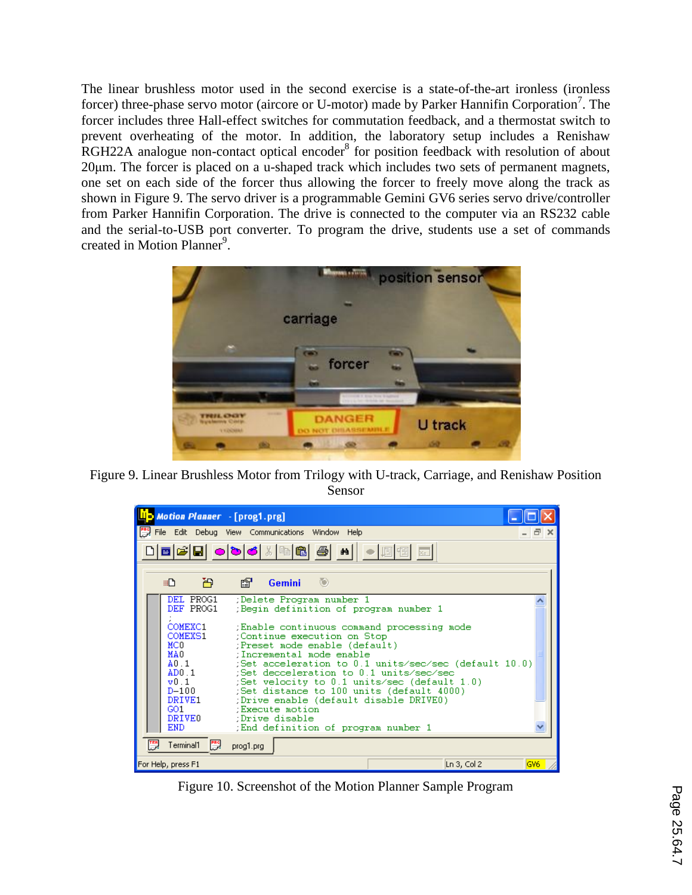The linear brushless motor used in the second exercise is a state-of-the-art ironless (ironless forcer) three-phase servo motor (aircore or U-motor) made by Parker Hannifin Corporation<sup>7</sup>. The forcer includes three Hall-effect switches for commutation feedback, and a thermostat switch to prevent overheating of the motor. In addition, the laboratory setup includes a Renishaw  $RGH22A$  analogue non-contact optical encoder<sup>8</sup> for position feedback with resolution of about 20μm. The forcer is placed on a u-shaped track which includes two sets of permanent magnets, one set on each side of the forcer thus allowing the forcer to freely move along the track as shown in Figure 9. The servo driver is a programmable Gemini GV6 series servo drive/controller from Parker Hannifin Corporation. The drive is connected to the computer via an RS232 cable and the serial-to-USB port converter. To program the drive, students use a set of commands created in Motion Planner<sup>9</sup>.

![](_page_6_Picture_1.jpeg)

Figure 9. Linear Brushless Motor from Trilogy with U-track, Carriage, and Renishaw Position Sensor

| Motion Planner - [prog1.prg]                           |                                                                                                                                                                                                                                              |     |
|--------------------------------------------------------|----------------------------------------------------------------------------------------------------------------------------------------------------------------------------------------------------------------------------------------------|-----|
|                                                        | File Edit Debug View Communications Window Help                                                                                                                                                                                              | - 0 |
|                                                        |                                                                                                                                                                                                                                              |     |
| 高<br>⊞ப                                                | <b>Gemini</b><br>- ISBN<br>- 0                                                                                                                                                                                                               |     |
| DEL PROG1<br>DEF PROG1                                 | :Delete Program number 1<br>Begin definition of program number 1                                                                                                                                                                             |     |
| COMEXC1<br>COMEXS1<br>MCO.<br>MA0                      | (Enable continuous command processing mode<br>Continue execution on Stop<br>(Preset mode enable (default)<br>:Incremental mode enable                                                                                                        |     |
| A0.1<br>AD0.1<br>$\mathbf{v}$ 0.1<br>$D-100$<br>DRIVE1 | ;Set acceleration to 0.1 units/sec/sec (default 10.0)<br>:Set decceleration to 0.1 units/sec/sec<br>(Set velocity to $0.1$ units/sec (default $1.0$ )<br>Set distance to 100 units (default 4000):<br>(Drive enable (default disable DRIVEO) |     |
| GO1<br>DRIVE <sub>0</sub><br>END.                      | :Execute motion<br>:Drive disable<br>End definition of program number 1                                                                                                                                                                      |     |
| $\mathbb{R}^n$<br>Terminal1                            | prog1.prg                                                                                                                                                                                                                                    |     |
| For Help, press F1                                     | Ln 3, Col 2                                                                                                                                                                                                                                  | GV6 |

Figure 10. Screenshot of the Motion Planner Sample Program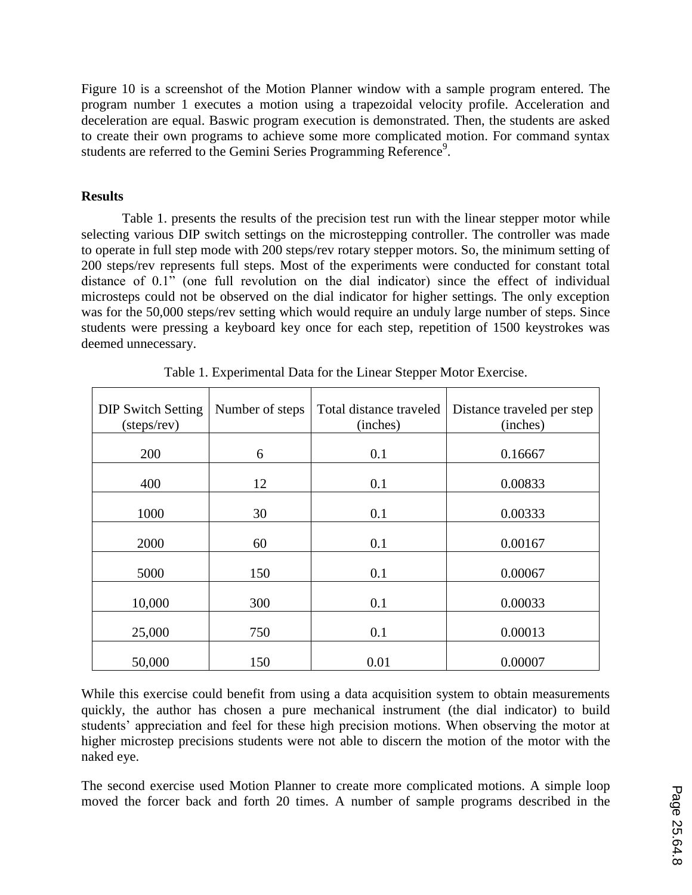Figure 10 is a screenshot of the Motion Planner window with a sample program entered. The program number 1 executes a motion using a trapezoidal velocity profile. Acceleration and deceleration are equal. Baswic program execution is demonstrated. Then, the students are asked to create their own programs to achieve some more complicated motion. For command syntax students are referred to the Gemini Series Programming Reference<sup>9</sup>.

### **Results**

Table 1. presents the results of the precision test run with the linear stepper motor while selecting various DIP switch settings on the microstepping controller. The controller was made to operate in full step mode with 200 steps/rev rotary stepper motors. So, the minimum setting of 200 steps/rev represents full steps. Most of the experiments were conducted for constant total distance of 0.1" (one full revolution on the dial indicator) since the effect of individual microsteps could not be observed on the dial indicator for higher settings. The only exception was for the 50,000 steps/rev setting which would require an unduly large number of steps. Since students were pressing a keyboard key once for each step, repetition of 1500 keystrokes was deemed unnecessary.

| <b>DIP Switch Setting</b><br>(steps/rev) | Number of steps | Total distance traveled<br>(inches) | Distance traveled per step<br>(inches) |
|------------------------------------------|-----------------|-------------------------------------|----------------------------------------|
| 200                                      | 6               | 0.1                                 | 0.16667                                |
| 400                                      | 12              | 0.1                                 | 0.00833                                |
| 1000                                     | 30              | 0.1                                 | 0.00333                                |
| 2000                                     | 60              | 0.1                                 | 0.00167                                |
| 5000                                     | 150             | 0.1                                 | 0.00067                                |
| 10,000                                   | 300             | 0.1                                 | 0.00033                                |
| 25,000                                   | 750             | 0.1                                 | 0.00013                                |
| 50,000                                   | 150             | 0.01                                | 0.00007                                |

Table 1. Experimental Data for the Linear Stepper Motor Exercise.

While this exercise could benefit from using a data acquisition system to obtain measurements quickly, the author has chosen a pure mechanical instrument (the dial indicator) to build students' appreciation and feel for these high precision motions. When observing the motor at higher microstep precisions students were not able to discern the motion of the motor with the naked eye.

The second exercise used Motion Planner to create more complicated motions. A simple loop moved the forcer back and forth 20 times. A number of sample programs described in the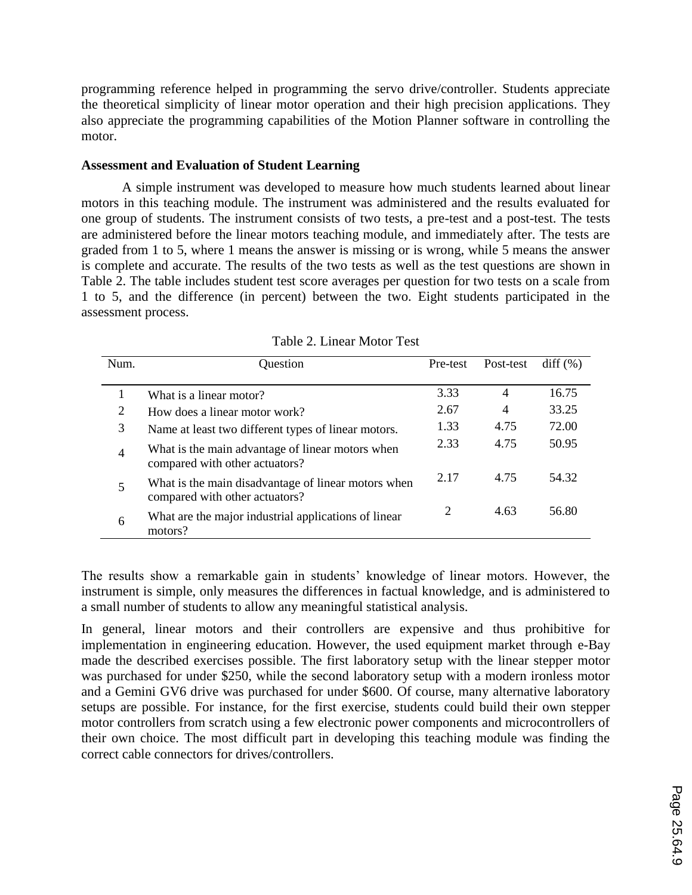programming reference helped in programming the servo drive/controller. Students appreciate the theoretical simplicity of linear motor operation and their high precision applications. They also appreciate the programming capabilities of the Motion Planner software in controlling the motor.

### **Assessment and Evaluation of Student Learning**

A simple instrument was developed to measure how much students learned about linear motors in this teaching module. The instrument was administered and the results evaluated for one group of students. The instrument consists of two tests, a pre-test and a post-test. The tests are administered before the linear motors teaching module, and immediately after. The tests are graded from 1 to 5, where 1 means the answer is missing or is wrong, while 5 means the answer is complete and accurate. The results of the two tests as well as the test questions are shown in Table 2. The table includes student test score averages per question for two tests on a scale from 1 to 5, and the difference (in percent) between the two. Eight students participated in the assessment process.

| Num.           | Question                                                                              | Pre-test                    | Post-test      | diff (%) |
|----------------|---------------------------------------------------------------------------------------|-----------------------------|----------------|----------|
|                |                                                                                       |                             |                |          |
| 1              | What is a linear motor?                                                               | 3.33                        | 4              | 16.75    |
| 2              | How does a linear motor work?                                                         | 2.67                        | $\overline{4}$ | 33.25    |
| 3              | Name at least two different types of linear motors.                                   | 1.33                        | 4.75           | 72.00    |
| $\overline{4}$ | What is the main advantage of linear motors when<br>compared with other actuators?    | 2.33                        | 4.75           | 50.95    |
| 5              | What is the main disadvantage of linear motors when<br>compared with other actuators? | 2.17                        | 4.75           | 54.32    |
| 6              | What are the major industrial applications of linear<br>motors?                       | $\mathcal{D}_{\mathcal{L}}$ | 4.63           | 56.80    |

Table 2. Linear Motor Test

The results show a remarkable gain in students' knowledge of linear motors. However, the instrument is simple, only measures the differences in factual knowledge, and is administered to a small number of students to allow any meaningful statistical analysis.

In general, linear motors and their controllers are expensive and thus prohibitive for implementation in engineering education. However, the used equipment market through e-Bay made the described exercises possible. The first laboratory setup with the linear stepper motor was purchased for under \$250, while the second laboratory setup with a modern ironless motor and a Gemini GV6 drive was purchased for under \$600. Of course, many alternative laboratory setups are possible. For instance, for the first exercise, students could build their own stepper motor controllers from scratch using a few electronic power components and microcontrollers of their own choice. The most difficult part in developing this teaching module was finding the correct cable connectors for drives/controllers.